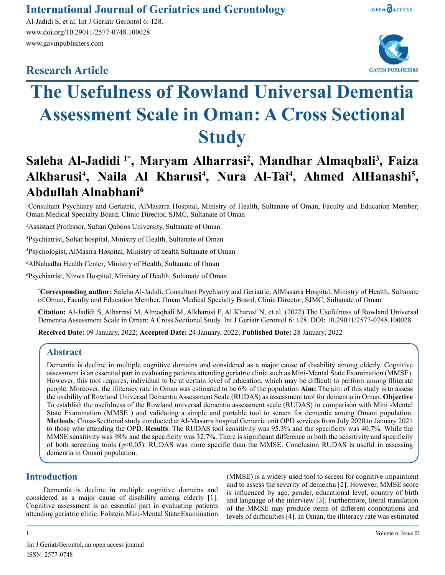# **International Journal of Geriatrics and Gerontology**

Al-Jadidi S, et al. Int J Geriatr Gerontol 6: 128. www.doi.org/10.29011/2577-0748.100028 www.gavinpublishers.com

# **Research Article**





# **The Usefulness of Rowland Universal Dementia Assessment Scale in Oman: A Cross Sectional Study**

# Saleha Al-Jadidi <sup>1\*</sup>, Maryam Alharrasi<sup>2</sup>, Mandhar Almaqbali<sup>3</sup>, Faiza Alkharusi<sup>4</sup>, Naila Al Kharusi<sup>4</sup>, Nura Al-Tai<sup>4</sup>, Ahmed AlHanashi<sup>5</sup>, **Abdullah Alnabhani6**

1 Consultant Psychiatry and Geriatric, AlMasarra Hospital, Ministry of Health, Sultanate of Oman, Faculty and Education Member, Oman Medical Specialty Board, Clinic Director, SJMC, Sultanate of Oman

2 Assistant Professor, Sultan Qaboos University, Sultanate of Oman

3 Psychiatrist, Sohar hospital, Ministry of Health, Sultanate of Oman

4 Psychologist, AlMasrra Hospital, Ministry of health Sultanate of Oman

5 AlNahadha Health Center, Ministry of Health, Sultanate of Oman

6 Psychiatrist, Nizwa Hospital, Ministry of Health, Sultanate of Oman

**\* Corresponding author:** Saleha Al-Jadidi, Consultant Psychiatry and Geriatric, AlMasarra Hospital, Ministry of Health, Sultanate of Oman, Faculty and Education Member, Oman Medical Specialty Board, Clinic Director, SJMC, Sultanate of Oman

**Citation:** Al-Jadidi S, Alharrasi M, Almaqbali M, Alkharusi F, Al Kharusi N, et al. (2022) The Usefulness of Rowland Universal Dementia Assessment Scale in Oman: A Cross Sectional Study. Int J Geriatr Gerontol 6: 128. DOI: 10.29011/2577-0748.100028

**Received Date:** 09 January, 2022; **Accepted Date:** 24 January, 2022; **Published Date:** 28 January, 2022

### **Abstract**

Dementia is decline in multiple cognitive domains and considered as a major cause of disability among elderly. Cognitive assessment is an essential part in evaluating patients attending geriatric clinic such as Mini-Mental State Examination (MMSE). However, this tool requires, individual to be at certain level of education, which may be difficult to perform among illiterate people. Moreover, the illiteracy rate in Oman was estimated to be 6% of the population **Aim:** The aim of this study is to assess the usability of Rowland Universal Dementia Assessment Scale (RUDAS) as assessment tool for dementia in Oman. **Objective** To establish the usefulness of the Rowland universal dementia assessment scale (RUDAS) in comparison with Mini -Mental State Examination (MMSE ) and validating a simple and portable tool to screen for dementia among Omani population. **Methods**: Cross-Sectional study conducted at Al-Masarra hospital Geriatric unit OPD services from July 2020 to January 2021 to those who attending the OPD. **Results**: The RUDAS tool sensitivity was 95.3% and the specificity was 40.7%. While the MMSE sensitivity was 98% and the specificity was 32.7%. There is significant difference in both the sensitivity and specificity of both screening tools (p<0.05). RUDAS was more specific than the MMSE. Conclusion RUDAS is useful in assessing dementia in Omani population.

## **Introduction**

Dementia is decline in multiple cognitive domains and considered as a major cause of disability among elderly [1]. Cognitive assessment is an essential part in evaluating patients attending geriatric clinic. Folstein Mini-Mental State Examination

(MMSE) is a widely used tool to screen for cognitive impairment and to assess the severity of dementia [2]. However, MMSE score is influenced by age, gender, educational level, country of birth and language of the interview [3]. Furthermore, literal translation of the MMSE may produce items of different connotations and levels of difficulties [4]. In Oman, the illiteracy rate was estimated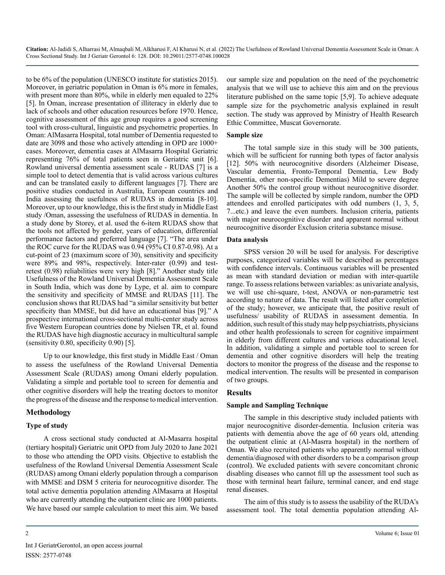to be 6% of the population (UNESCO institute for statistics 2015). Moreover, in geriatric population in Oman is 6% more in females, with present more than 80%, while in elderly men equaled to 22% [5]. In Oman, increase presentation of illiteracy in elderly due to lack of schools and other education resources before 1970. Hence, cognitive assessment of this age group requires a good screening tool with cross-cultural, linguistic and psychometric properties. In Oman: AlMasarra Hospital, total number of Dementia requested to date are 3098 and those who actively attending in OPD are 1000+ cases. Moreover, dementia cases at AlMasarra Hospital Geriatric representing 76% of total patients seen in Geriatric unit [6]. Rowland universal dementia assessment scale - RUDAS [7] is a simple tool to detect dementia that is valid across various cultures and can be translated easily to different languages [7]. There are positive studies conducted in Australia, European countries and India assessing the usefulness of RUDAS in dementia [8-10]. Moreover, up to our knowledge, this is the first study in Middle East study /Oman, assessing the usefulness of RUDAS in dementia. In a study done by Storey, et al. used the 6-item RUDAS show that the tools not affected by gender, years of education, differential performance factors and preferred language [7]. "The area under the ROC curve for the RUDAS was 0.94 (95% CI 0.87-0.98). At a cut-point of 23 (maximum score of 30), sensitivity and specificity were 89% and 98%, respectively. Inter-rater (0.99) and testretest (0.98) reliabilities were very high [8]." Another study title Usefulness of the Rowland Universal Dementia Assessment Scale in South India, which was done by Lype, et al. aim to compare the sensitivity and specificity of MMSE and RUDAS [11]. The conclusion shows that RUDAS had "a similar sensitivity but better specificity than MMSE, but did have an educational bias [9]." A prospective international cross-sectional multi-center study across five Western European countries done by [Nielsen](https://pubmed.ncbi.nlm.nih.gov/?term=Nielsen+TR&cauthor_id=30017010) TR, et al. found the RUDAS have high diagnostic accuracy in multicultural sample (sensitivity 0.80, specificity 0.90) [5].

Up to our knowledge, this first study in Middle East / Oman to assess the usefulness of the Rowland Universal Dementia Assessment Scale (RUDAS) among Omani elderly population. Validating a simple and portable tool to screen for dementia and other cognitive disorders will help the treating doctors to monitor the progress of the disease and the response to medical intervention.

#### **Methodology**

#### **Type of study**

A cross sectional study conducted at Al-Masarra hospital (tertiary hospital) Geriatric unit OPD from July 2020 to Jane 2021 to those who attending the OPD visits. Objective to establish the usefulness of the Rowland Universal Dementia Assessment Scale (RUDAS) among Omani elderly population through a comparison with MMSE and DSM 5 criteria for neurocognitive disorder. The total active dementia population attending AlMasarra at Hospital who are currently attending the outpatient clinic are 1000 patients. We have based our sample calculation to meet this aim. We based our sample size and population on the need of the psychometric analysis that we will use to achieve this aim and on the previous literature published on the same topic [5,9]. To achieve adequate sample size for the psychometric analysis explained in result section. The study was approved by Ministry of Health Research Ethic Committee, Muscat Governorate.

#### **Sample size**

The total sample size in this study will be 300 patients, which will be sufficient for running both types of factor analysis [12]. 50% with neurocognitive disorders (Alzheimer Disease, Vascular dementia, Fronto-Temporal Dementia, Lew Body Dementia, other non-specific Dementias) Mild to severe degree Another 50% the control group without neurocognitive disorder. The sample will be collected by simple random, number the OPD attendees and enrolled participates with odd numbers (1, 3, 5, 7...etc.) and leave the even numbers. Inclusion criteria, patients with major neurocognitive disorder and apparent normal without neurocognitive disorder Exclusion criteria substance misuse.

#### **Data analysis**

SPSS version 20 will be used for analysis. For descriptive purposes, categorized variables will be described as percentages with confidence intervals. Continuous variables will be presented as mean with standard deviation or median with inter-quartile range. To assess relations between variables: as univariate analysis, we will use chi-square, t-test, ANOVA or non-parametric test according to nature of data. The result will listed after completion of the study; however, we anticipate that, the positive result of usefulness/ usability of RUDAS in assessment dementia. In addition, such result of this study may help psychiatrists, physicians and other health professionals to screen for cognitive impairment in elderly from different cultures and various educational level. In addition, validating a simple and portable tool to screen for dementia and other cognitive disorders will help the treating doctors to monitor the progress of the disease and the response to medical intervention. The results will be presented in comparison of two groups.

#### **Results**

#### **Sample and Sampling Technique**

The sample in this descriptive study included patients with major neurocognitive disorder-dementia. Inclusion criteria was patients with dementia above the age of 60 years old, attending the outpatient clinic at (Al-Masrra hospital) in the northern of Oman. We also recruited patients who apparently normal without dementia/diagnosed with other disorders to be a comparison group (control). We excluded patients with severe concomitant chronic disabling diseases who cannot fill up the assessment tool such as those with terminal heart failure, terminal cancer, and end stage renal diseases.

The aim of this study is to assess the usability of the RUDA's assessment tool. The total dementia population attending Al-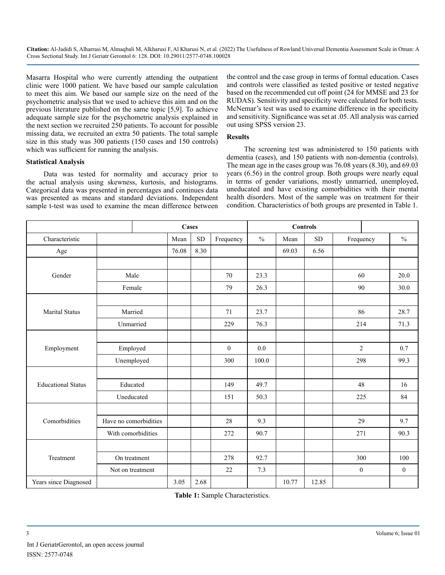Masarra Hospital who were currently attending the outpatient clinic were 1000 patient. We have based our sample calculation to meet this aim. We based our sample size on the need of the psychometric analysis that we used to achieve this aim and on the previous literature published on the same topic [5,9]. To achieve adequate sample size for the psychometric analysis explained in the next section we recruited 250 patients. To account for possible missing data, we recruited an extra 50 patients. The total sample size in this study was 300 patients (150 cases and 150 controls) which was sufficient for running the analysis.

#### **Statistical Analysis**

Data was tested for normality and accuracy prior to the actual analysis using skewness, kurtosis, and histograms. Categorical data was presented in percentages and continues data was presented as means and standard deviations. Independent sample t-test was used to examine the mean difference between

the control and the case group in terms of formal education. Cases and controls were classified as tested positive or tested negative based on the recommended cut off point (24 for MMSE and 23 for RUDAS). Sensitivity and specificity were calculated for both tests. McNemar's test was used to examine difference in the specificity and sensitivity. Significance was set at .05. All analysis was carried out using SPSS version 23.

#### **Results**

The screening test was administered to 150 patients with dementia (cases), and 150 patients with non-dementia (controls). The mean age in the cases group was 76.08 years (8.30), and 69.03 years (6.56) in the control group. Both groups were nearly equal in terms of gender variations, mostly unmarried, unemployed, uneducated and have existing comorbidities with their mental health disorders. Most of the sample was on treatment for their condition. Characteristics of both groups are presented in Table 1.

|                           |                       |            | Cases |            |              | <b>Controls</b> |       |            |  |                  |               |
|---------------------------|-----------------------|------------|-------|------------|--------------|-----------------|-------|------------|--|------------------|---------------|
| Characteristic            |                       |            | Mean  | ${\rm SD}$ | Frequency    | $\frac{0}{0}$   | Mean  | ${\rm SD}$ |  | Frequency        | $\frac{0}{0}$ |
| Age                       |                       |            | 76.08 | 8.30       |              |                 | 69.03 | 6.56       |  |                  |               |
|                           |                       |            |       |            |              |                 |       |            |  |                  |               |
| Gender                    | Male                  |            |       |            | 70           | 23.3            |       |            |  | 60               | 20.0          |
|                           | Female                |            |       |            | 79           | 26.3            |       |            |  | 90               | 30.0          |
|                           |                       |            |       |            |              |                 |       |            |  |                  |               |
| <b>Marital Status</b>     | Married               |            |       |            | 71           | 23.7            |       |            |  | 86               | 28.7          |
|                           | Unmarried             |            |       |            | 229          | 76.3            |       |            |  | 214              | 71.3          |
|                           |                       |            |       |            |              |                 |       |            |  |                  |               |
| Employment                | Employed              |            |       |            | $\mathbf{0}$ | 0.0             |       |            |  | $\overline{2}$   | 0.7           |
|                           |                       | Unemployed |       |            | 300          | 100.0           |       |            |  | 298              | 99.3          |
|                           |                       |            |       |            |              |                 |       |            |  |                  |               |
| <b>Educational Status</b> | Educated              |            |       |            | 149          | 49.7            |       |            |  | 48               | 16            |
|                           | Uneducated            |            |       |            | 151          | 50.3            |       |            |  | 225              | 84            |
|                           |                       |            |       |            |              |                 |       |            |  |                  |               |
| Comorbidities             | Have no comorbidities |            |       |            | 28           | 9.3             |       |            |  | 29               | 9.7           |
|                           | With comorbidities    |            |       |            | 272          | 90.7            |       |            |  | 271              | 90.3          |
|                           |                       |            |       |            |              |                 |       |            |  |                  |               |
| Treatment                 | On treatment          |            |       |            | 278          | 92.7            |       |            |  | 300              | 100           |
|                           | Not on treatment      |            |       |            | 22           | 7.3             |       |            |  | $\boldsymbol{0}$ | $\mathbf{0}$  |
| Years since Diagnosed     |                       |            | 3.05  | 2.68       |              |                 | 10.77 | 12.85      |  |                  |               |

**Table 1:** Sample Characteristics.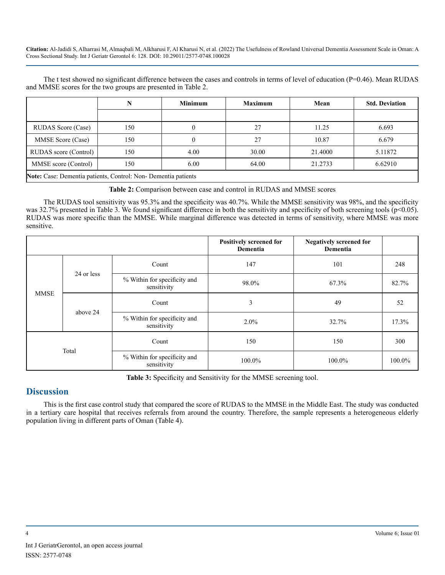The t test showed no significant difference between the cases and controls in terms of level of education (P=0.46). Mean RUDAS and MMSE scores for the two groups are presented in Table 2.

|                                                                      |     | <b>Minimum</b> | <b>Maximum</b> | Mean    | <b>Std. Deviation</b> |  |
|----------------------------------------------------------------------|-----|----------------|----------------|---------|-----------------------|--|
|                                                                      |     |                |                |         |                       |  |
| <b>RUDAS</b> Score (Case)                                            | 150 |                | 27             | 11.25   | 6.693                 |  |
| MMSE Score (Case)                                                    | 150 |                | 27             | 10.87   | 6.679                 |  |
| RUDAS score (Control)                                                | 150 | 4.00           | 30.00          | 21.4000 | 5.11872               |  |
| MMSE score (Control)                                                 | 150 | 6.00           | 64.00          | 21.2733 | 6.62910               |  |
| <b>Note:</b> Case: Dementia patients, Control: Non-Dementia patients |     |                |                |         |                       |  |

**Table 2:** Comparison between case and control in RUDAS and MMSE scores

The RUDAS tool sensitivity was 95.3% and the specificity was 40.7%. While the MMSE sensitivity was 98%, and the specificity was 32.7% presented in Table 3. We found significant difference in both the sensitivity and specificity of both screening tools (p<0.05). RUDAS was more specific than the MMSE. While marginal difference was detected in terms of sensitivity, where MMSE was more sensitive.

|             |            |                                             | Positively screened for<br>Dementia | <b>Negatively screened for</b><br>Dementia |        |
|-------------|------------|---------------------------------------------|-------------------------------------|--------------------------------------------|--------|
| <b>MMSE</b> | 24 or less | Count                                       | 147                                 | 101                                        | 248    |
|             |            | % Within for specificity and<br>sensitivity | 98.0%                               | 67.3%                                      | 82.7%  |
|             | above 24   | Count                                       | 3                                   | 49                                         | 52     |
|             |            | % Within for specificity and<br>sensitivity | $2.0\%$                             | 32.7%                                      | 17.3%  |
| Total       |            | Count                                       | 150                                 | 150                                        | 300    |
|             |            | % Within for specificity and<br>sensitivity | 100.0%                              | 100.0%                                     | 100.0% |

**Table 3:** Specificity and Sensitivity for the MMSE screening tool.

## **Discussion**

This is the first case control study that compared the score of RUDAS to the MMSE in the Middle East. The study was conducted in a tertiary care hospital that receives referrals from around the country. Therefore, the sample represents a heterogeneous elderly population living in different parts of Oman (Table 4).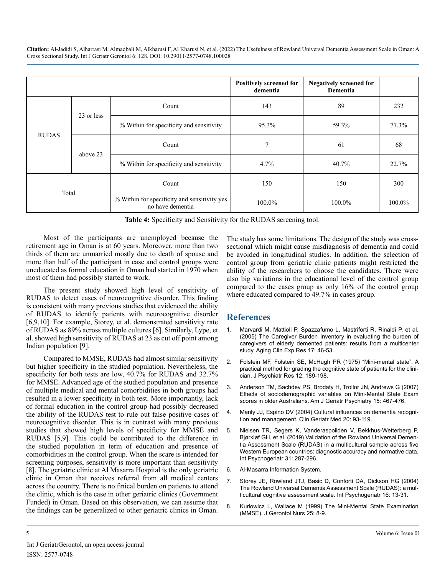|              |            |                                                                  | <b>Positively screened for</b><br>dementia | <b>Negatively screened for</b><br>Dementia |        |
|--------------|------------|------------------------------------------------------------------|--------------------------------------------|--------------------------------------------|--------|
| <b>RUDAS</b> | 23 or less | Count                                                            | 143                                        | 89                                         | 232    |
|              |            | % Within for specificity and sensitivity                         | 95.3%                                      | 59.3%                                      | 77.3%  |
|              | above 23   | Count                                                            | π                                          | 61                                         | 68     |
|              |            | % Within for specificity and sensitivity                         | 4.7%                                       | 40.7%                                      | 22.7%  |
| Total        |            | Count                                                            | 150                                        | 150                                        | 300    |
|              |            | % Within for specificity and sensitivity yes<br>no have dementia | 100.0%                                     | 100.0%                                     | 100.0% |

**Table 4:** Specificity and Sensitivity for the RUDAS screening tool.

Most of the participants are unemployed because the retirement age in Oman is at 60 years. Moreover, more than two thirds of them are unmarried mostly due to death of spouse and more than half of the participant in case and control groups were uneducated as formal education in Oman had started in 1970 when most of them had possibly started to work.

The present study showed high level of sensitivity of RUDAS to detect cases of neurocognitive disorder. This finding is consistent with many previous studies that evidenced the ability of RUDAS to identify patients with neurocognitive disorder [6,9,10]. For example, Storey, et al. demonstrated sensitivity rate of RUDAS as 89% across multiple cultures [6]. Similarly, Lype, et al. showed high sensitivity of RUDAS at 23 as cut off point among Indian population [9].

Compared to MMSE, RUDAS had almost similar sensitivity but higher specificity in the studied population. Nevertheless, the specificity for both tests are low, 40.7% for RUDAS and 32.7% for MMSE. Advanced age of the studied population and presence of multiple medical and mental comorbidities in both groups had resulted in a lower specificity in both test. More importantly, lack of formal education in the control group had possibly decreased the ability of the RUDAS test to rule out false positive cases of neurocognitive disorder. This is in contrast with many previous studies that showed high levels of specificity for MMSE and RUDAS [5,9]. This could be contributed to the difference in the studied population in term of education and presence of comorbidities in the control group. When the scare is intended for screening purposes, sensitivity is more important than sensitivity [8]. The geriatric clinic at Al Masarra Hospital is the only geriatric clinic in Oman that receives referral from all medical centers across the country. There is no finical burden on patients to attend the clinic, which is the case in other geriatric clinics (Government Funded) in Oman. Based on this observation, we can assume that the findings can be generalized to other geriatric clinics in Oman.

The study has some limitations. The design of the study was crosssectional which might cause misdiagnosis of dementia and could be avoided in longitudinal studies. In addition, the selection of control group from geriatric clinic patients might restricted the ability of the researchers to choose the candidates. There were also big variations in the educational level of the control group compared to the cases group as only 16% of the control group where educated compared to 49.7% in cases group.

## **References**

- 1. [Marvardi M, Mattioli P, Spazzafumo L, Mastriforti R, Rinaldi P, et al.](https://pubmed.ncbi.nlm.nih.gov/15847122/) [\(2005\) The Caregiver Burden Inventory in evaluating the burden of](https://pubmed.ncbi.nlm.nih.gov/15847122/)  [caregivers of elderly demented patients: results from a multicenter](https://pubmed.ncbi.nlm.nih.gov/15847122/)  [study. Aging Clin Exp Res 17: 46-53.](https://pubmed.ncbi.nlm.nih.gov/15847122/)
- 2. [Folstein MF, Folstein SE, McHugh PR \(1975\) "Mini-mental state". A](https://pubmed.ncbi.nlm.nih.gov/1202204/)  [practical method for grading the cognitive state of patients for the clini](https://pubmed.ncbi.nlm.nih.gov/1202204/)[cian. J Psychiatr Res 12: 189-198.](https://pubmed.ncbi.nlm.nih.gov/1202204/)
- 3. [Anderson TM, Sachdev PS, Brodaty H, Trollor JN, Andrews G \(2007\)](https://pubmed.ncbi.nlm.nih.gov/17545447/)  [Effects of sociodemographic variables on Mini-Mental State Exam](https://pubmed.ncbi.nlm.nih.gov/17545447/) [scores in older Australians. Am J Geriatr Psychiatry 15: 467-476.](https://pubmed.ncbi.nlm.nih.gov/17545447/)
- 4. [Manly JJ, Espino DV \(2004\) Cultural influences on dementia recogni](https://pubmed.ncbi.nlm.nih.gov/15062490/)[tion and management. Clin Geriatr Med 20: 93-119.](https://pubmed.ncbi.nlm.nih.gov/15062490/)
- 5. [Nielsen TR, Segers K, Vanderaspoilden V, Bekkhus-Wetterberg P,](https://pubmed.ncbi.nlm.nih.gov/30017010/) [Bjørkløf GH, et al. \(2019\) Validation of the Rowland Universal Demen](https://pubmed.ncbi.nlm.nih.gov/30017010/)[tia Assessment Scale \(RUDAS\) in a multicultural sample across five](https://pubmed.ncbi.nlm.nih.gov/30017010/)  [Western European countries: diagnostic accuracy and normative data.](https://pubmed.ncbi.nlm.nih.gov/30017010/) [Int Psychogeriatr 31: 287-296.](https://pubmed.ncbi.nlm.nih.gov/30017010/)
- 6. Al-Masarra Information System.
- 7. [Storey JE, Rowland JTJ, Basic D, Conforti DA, Dickson HG \(2004\)](https://pubmed.ncbi.nlm.nih.gov/15190994/) [The Rowland Universal Dementia Assessment Scale \(RUDAS\): a mul](https://pubmed.ncbi.nlm.nih.gov/15190994/)[ticultural cognitive assessment scale. Int Psychogeriatr 16: 13-31.](https://pubmed.ncbi.nlm.nih.gov/15190994/)
- 8. [Kurlowicz L, Wallace M \(1999\) The Mini-Mental State Examination](https://pubmed.ncbi.nlm.nih.gov/10578759/)  [\(MMSE\). J Gerontol Nurs 25: 8-9.](https://pubmed.ncbi.nlm.nih.gov/10578759/)